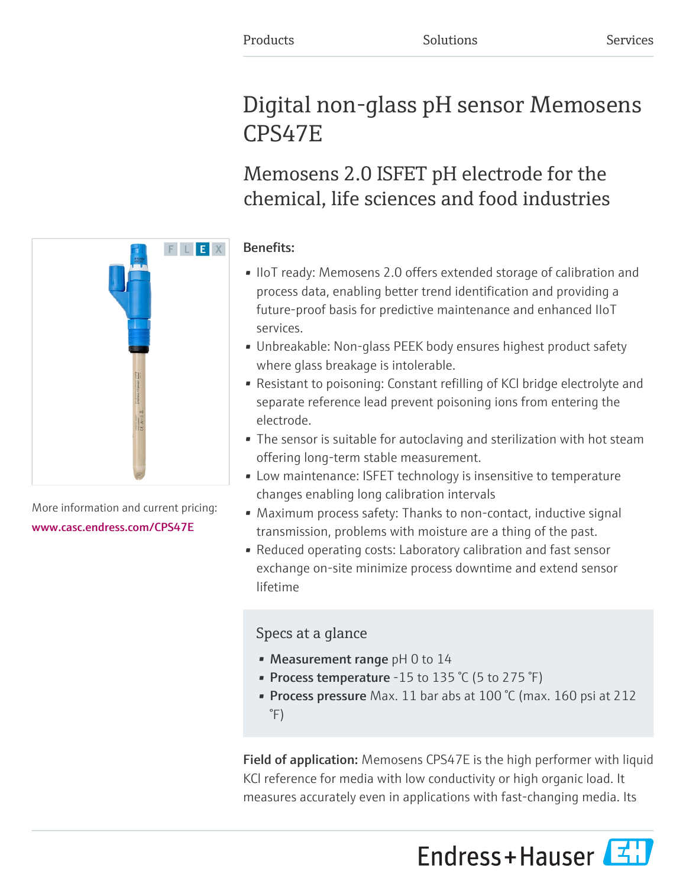# Digital non-glass pH sensor Memosens CPS47E

Memosens 2.0 ISFET pH electrode for the chemical, life sciences and food industries

# Benefits:

- IIoT ready: Memosens 2.0 offers extended storage of calibration and process data, enabling better trend identification and providing a future-proof basis for predictive maintenance and enhanced IIoT services.
- Unbreakable: Non-glass PEEK body ensures highest product safety where glass breakage is intolerable.
- Resistant to poisoning: Constant refilling of KCl bridge electrolyte and separate reference lead prevent poisoning ions from entering the electrode.
- The sensor is suitable for autoclaving and sterilization with hot steam offering long-term stable measurement.
- Low maintenance: ISFET technology is insensitive to temperature changes enabling long calibration intervals
- Maximum process safety: Thanks to non-contact, inductive signal transmission, problems with moisture are a thing of the past.
- Reduced operating costs: Laboratory calibration and fast sensor exchange on-site minimize process downtime and extend sensor lifetime

# Specs at a glance

- Measurement range  $pH$  0 to 14
- Process temperature -15 to 135  $°C$  (5 to 275  $°F$ )
- Process pressure Max. 11 bar abs at 100 °C (max. 160 psi at 212  $\degree$ F)

Field of application: Memosens CPS47E is the high performer with liquid KCl reference for media with low conductivity or high organic load. It measures accurately even in applications with fast-changing media. Its





More information and current pricing: [www.casc.endress.com/CPS47E](https://www.casc.endress.com/CPS47E)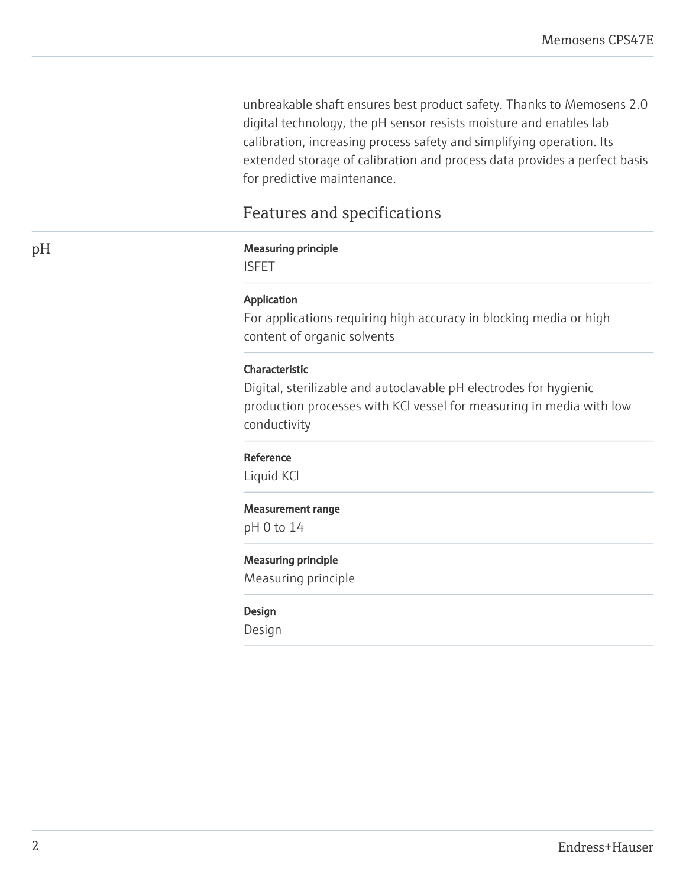unbreakable shaft ensures best product safety. Thanks to Memosens 2.0 digital technology, the pH sensor resists moisture and enables lab calibration, increasing process safety and simplifying operation. Its extended storage of calibration and process data provides a perfect basis for predictive maintenance.

# Features and specifications

# pH Measuring principle

ISFET

# Application

For applications requiring high accuracy in blocking media or high content of organic solvents

# Characteristic

Digital, sterilizable and autoclavable pH electrodes for hygienic production processes with KCl vessel for measuring in media with low conductivity

### Reference

Liquid KCl

#### Measurement range

pH 0 to 14

# Measuring principle

Measuring principle

#### Design

Design